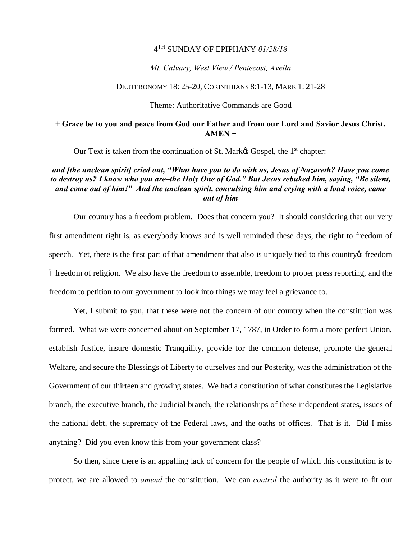### 4TH SUNDAY OF EPIPHANY *01/28/18*

### *Mt. Calvary, West View / Pentecost, Avella*

#### DEUTERONOMY 18: 25-20, CORINTHIANS 8:1-13, MARK 1: 21-28

### Theme: Authoritative Commands are Good

## **+ Grace be to you and peace from God our Father and from our Lord and Savior Jesus Christ.**   $AMEN +$

Our Text is taken from the continuation of St. Mark $\alpha$  Gospel, the 1<sup>st</sup> chapter:

# *and [the unclean spirit] cried out, "What have you to do with us, Jesus of Nazareth? Have you come to destroy us? I know who you are–the Holy One of God." But Jesus rebuked him, saying, "Be silent, and come out of him!" And the unclean spirit, convulsing him and crying with a loud voice, came out of him*

Our country has a freedom problem. Does that concern you? It should considering that our very first amendment right is, as everybody knows and is well reminded these days, the right to freedom of speech. Yet, there is the first part of that amendment that also is uniquely tied to this country the freedom – freedom of religion. We also have the freedom to assemble, freedom to proper press reporting, and the freedom to petition to our government to look into things we may feel a grievance to.

Yet, I submit to you, that these were not the concern of our country when the constitution was formed. What we were concerned about on September 17, 1787, in Order to form a more perfect Union, establish Justice, insure domestic Tranquility, provide for the common defense, promote the general Welfare, and secure the Blessings of Liberty to ourselves and our Posterity, was the administration of the Government of our thirteen and growing states. We had a constitution of what constitutes the Legislative branch, the executive branch, the Judicial branch, the relationships of these independent states, issues of the national debt, the supremacy of the Federal laws, and the oaths of offices. That is it. Did I miss anything? Did you even know this from your government class?

So then, since there is an appalling lack of concern for the people of which this constitution is to protect, we are allowed to *amend* the constitution. We can *control* the authority as it were to fit our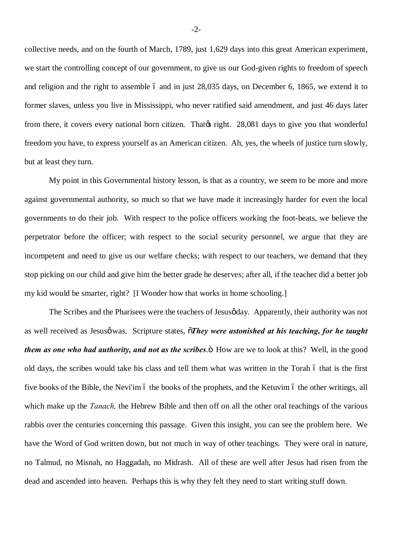collective needs, and on the fourth of March, 1789, just 1,629 days into this great American experiment, we start the controlling concept of our government, to give us our God-given rights to freedom of speech and religion and the right to assemble 6 and in just 28,035 days, on December 6, 1865, we extend it to former slaves, unless you live in Mississippi, who never ratified said amendment, and just 46 days later from there, it covers every national born citizen. That the right. 28,081 days to give you that wonderful freedom you have, to express yourself as an American citizen. Ah, yes, the wheels of justice turn slowly, but at least they turn.

My point in this Governmental history lesson, is that as a country, we seem to be more and more against governmental authority, so much so that we have made it increasingly harder for even the local governments to do their job. With respect to the police officers working the foot-beats, we believe the perpetrator before the officer; with respect to the social security personnel, we argue that they are incompetent and need to give us our welfare checks; with respect to our teachers, we demand that they stop picking on our child and give him the better grade he deserves; after all, if the teacher did a better job my kid would be smarter, right? [I Wonder how that works in home schooling.]

The Scribes and the Pharisees were the teachers of Jesus gday. Apparently, their authority was not as well received as Jesusø was. Scripture states,  $\tilde{\sigma}$ *They were astonished at his teaching, for he taught them as one who had authority, and not as the scribes*. Thow are we to look at this? Well, in the good old days, the scribes would take his class and tell them what was written in the Torah 6 that is the first five books of the Bible, the Nevi'im 6 the books of the prophets, and the Ketuvim 6 the other writings, all which make up the *Tanach,* the Hebrew Bible and then off on all the other oral teachings of the various rabbis over the centuries concerning this passage. Given this insight, you can see the problem here. We have the Word of God written down, but not much in way of other teachings. They were oral in nature, no Talmud, no Misnah, no Haggadah, no Midrash. All of these are well after Jesus had risen from the dead and ascended into heaven. Perhaps this is why they felt they need to start writing stuff down.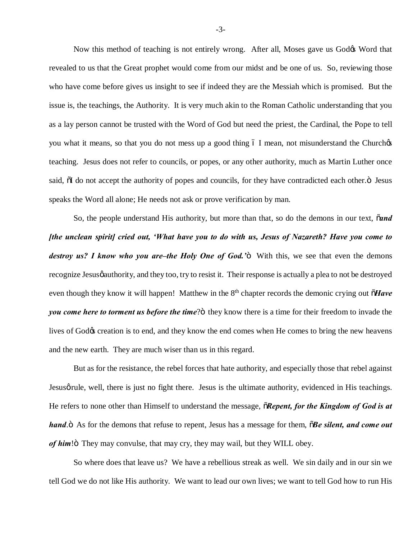Now this method of teaching is not entirely wrong. After all, Moses gave us Godos Word that revealed to us that the Great prophet would come from our midst and be one of us. So, reviewing those who have come before gives us insight to see if indeed they are the Messiah which is promised. But the issue is, the teachings, the Authority. It is very much akin to the Roman Catholic understanding that you as a lay person cannot be trusted with the Word of God but need the priest, the Cardinal, the Pope to tell you what it means, so that you do not mess up a good thing 6 I mean, not misunderstand the Churchos teaching. Jesus does not refer to councils, or popes, or any other authority, much as Martin Luther once said,  $\delta I$  do not accept the authority of popes and councils, for they have contradicted each other. $\ddot{o}$  Jesus speaks the Word all alone; He needs not ask or prove verification by man.

So, the people understand His authority, but more than that, so do the demons in our text,  $\tilde{\alpha}$ *nd [the unclean spirit] cried out, 'What have you to do with us, Jesus of Nazareth? Have you come to destroy us? I know who you are–the Holy One of God.*<sup>2</sup> With this, we see that even the demons recognize Jesus *gauthority*, and they too, try to resist it. Their response is actually a plea to not be destroyed even though they know it will happen! Matthew in the 8<sup>th</sup> chapter records the demonic crying out  $\tilde{o}$ *Have you come here to torment us before the time*?" they know there is a time for their freedom to invade the lives of God $\&$  creation is to end, and they know the end comes when He comes to bring the new heavens and the new earth. They are much wiser than us in this regard.

But as for the resistance, the rebel forces that hate authority, and especially those that rebel against Jesus g rule, well, there is just no fight there. Jesus is the ultimate authority, evidenced in His teachings. He refers to none other than Himself to understand the message,  $\tilde{o}$ *Repent, for the Kingdom of God is at hand*.<sup>"</sup> As for the demons that refuse to repent, Jesus has a message for them,  $\tilde{o}$ *Be silent, and come out of him*!" They may convulse, that may cry, they may wail, but they WILL obey.

So where does that leave us? We have a rebellious streak as well. We sin daily and in our sin we tell God we do not like His authority. We want to lead our own lives; we want to tell God how to run His

-3-